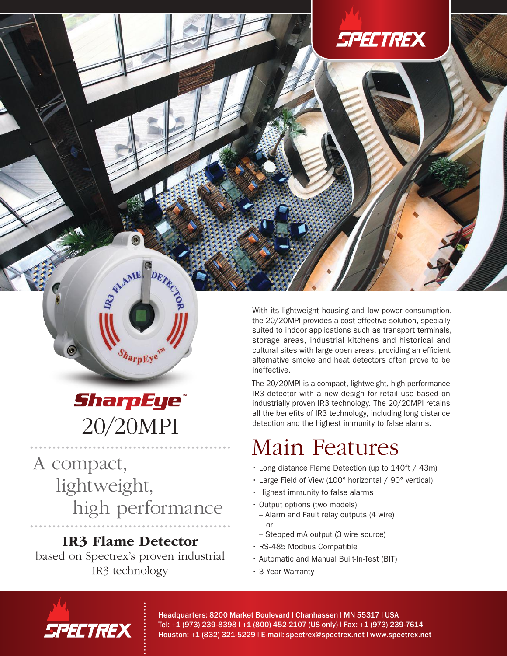## **SPECTREX**

## **SharpEye®** 20/20MPI

harpEye

STAME DE

A compact, lightweight, high performance

### IR3 Flame Detector

based on Spectrex's proven industrial IR3 technology

With its lightweight housing and low power consumption, the 20/20MPI provides a cost effective solution, specially suited to indoor applications such as transport terminals, storage areas, industrial kitchens and historical and cultural sites with large open areas, providing an efficient alternative smoke and heat detectors often prove to be ineffective.

The 20/20MPI is a compact, lightweight, high performance IR3 detector with a new design for retail use based on industrially proven IR3 technology. The 20/20MPI retains all the benefits of IR3 technology, including long distance detection and the highest immunity to false alarms.

## Main Features

- Long distance Flame Detection (up to 140ft / 43m)
- Large Field of View (100° horizontal / 90° vertical)
- Highest immunity to false alarms
- Output options (two models):
- Alarm and Fault relay outputs (4 wire) or
- Stepped mA output (3 wire source)
- RS-485 Modbus Compatible
- Automatic and Manual Built-In-Test (BIT)
- 3 Year Warranty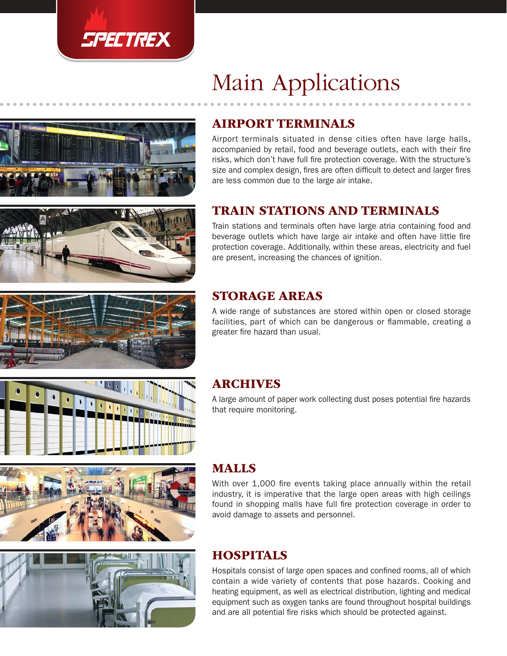

# Main Applications





Airport terminals situated in dense cities often have large halls, accompanied by retail, food and beverage outlets, each with their fire risks, which don't have full fire protection coverage. With the structure's size and complex design, fires are often difficult to detect and larger fires are less common due to the large air intake.

### TRAIN STATIONS AND TERMINALS

Train stations and terminals often have large atria containing food and beverage outlets which have large air intake and often have little fire protection coverage. Additionally, within these areas, electricity and fuel are present, increasing the chances of ignition.

### STORAGE AREAS

A wide range of substances are stored within open or closed storage facilities, part of which can be dangerous or flammable, creating a greater fire hazard than usual.

### ARCHIVES

A large amount of paper work collecting dust poses potential fire hazards that require monitoring.





### MALLS

With over 1,000 fire events taking place annually within the retail industry, it is imperative that the large open areas with high ceilings found in shopping malls have full fire protection coverage in order to avoid damage to assets and personnel.

### HOSPITALS

Hospitals consist of large open spaces and confined rooms, all of which contain a wide variety of contents that pose hazards. Cooking and heating equipment, as well as electrical distribution, lighting and medical equipment such as oxygen tanks are found throughout hospital buildings and are all potential fire risks which should be protected against.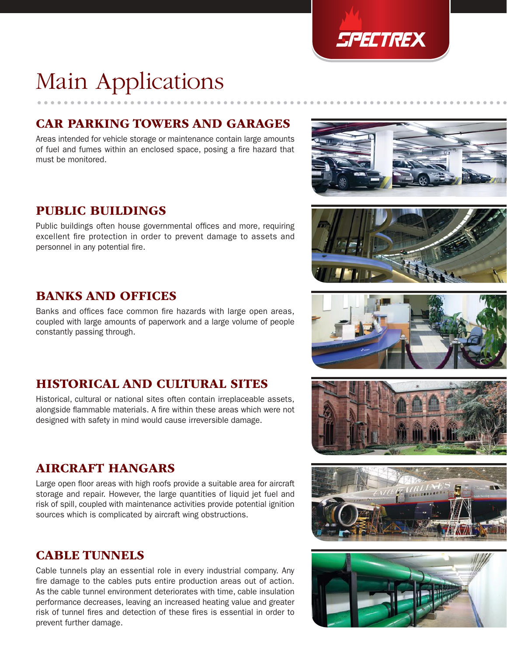

## Main Applications

### CAR PARKING TOWERS AND GARAGES

Areas intended for vehicle storage or maintenance contain large amounts of fuel and fumes within an enclosed space, posing a fire hazard that must be monitored.

### PUBLIC BUILDINGS

Public buildings often house governmental offices and more, requiring excellent fire protection in order to prevent damage to assets and personnel in any potential fire.

### BANKS AND OFFICES

Banks and offices face common fire hazards with large open areas, coupled with large amounts of paperwork and a large volume of people constantly passing through.

### HISTORICAL AND CULTURAL SITES

Historical, cultural or national sites often contain irreplaceable assets, alongside flammable materials. A fire within these areas which were not designed with safety in mind would cause irreversible damage.

### AIRCRAFT HANGARS

Large open floor areas with high roofs provide a suitable area for aircraft storage and repair. However, the large quantities of liquid jet fuel and risk of spill, coupled with maintenance activities provide potential ignition sources which is complicated by aircraft wing obstructions.

### CABLE TUNNELS

Cable tunnels play an essential role in every industrial company. Any fire damage to the cables puts entire production areas out of action. As the cable tunnel environment deteriorates with time, cable insulation performance decreases, leaving an increased heating value and greater risk of tunnel fires and detection of these fires is essential in order to prevent further damage.